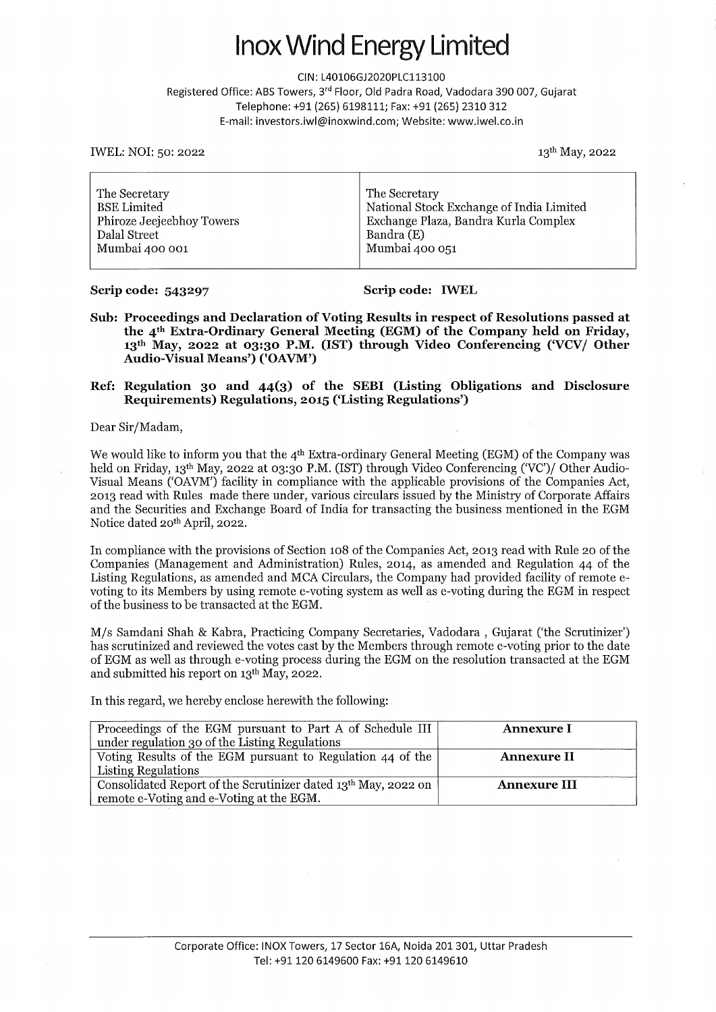### nox Wind Energy Limited

CIN: L40106GJ2020PLC113100

Registered Office: ABS Towers, 3rd Floor, Old Padra Road, Vadodara 390 007, Gujarat Telephone: +91(265) 6198111; Fax: +91(265) 2310 312 E-mail: investors.iwl@inoxwind.com; Website: www.iwel.co.in

IWEL: NOI: 50: 2022 13th May, 2022

| National Stock Exchange of India Limited<br><b>BSE</b> Limited<br>Exchange Plaza, Bandra Kurla Complex<br>Phiroze Jeejeebhoy Towers<br>Bandra (E)<br>Dalal Street<br>Mumbai 400 051<br>Mumbai 400 001 |  | The Secretary | The Secretary |
|-------------------------------------------------------------------------------------------------------------------------------------------------------------------------------------------------------|--|---------------|---------------|
|-------------------------------------------------------------------------------------------------------------------------------------------------------------------------------------------------------|--|---------------|---------------|

#### **Scrip code: 543297** Scrip code: IWEL

**Sub: Proceedings and Declaration of Voting Results in respect of Resolutions passed at the 4th Extra-Ordinary General Meeting (EGM) of the Company held on Friday, 13th May, 2022 at 03:30 P.M. (IST) through Video Conferencing ('VCV/ Other Audio-Visual Means') ('OAVM')** 

#### **Ref: Regulation 30 and 44(3) of the SEBI (Listing Obligations and Disclosure Requirements) Regulations, 2015 ('Listing Regulations')**

Dear Sir/Madam,

We would like to inform you that the 4<sup>th</sup> Extra-ordinary General Meeting (EGM) of the Company was held on Friday, 13th May, 2022 at 03:30 P.M. (IST) through Video Conferencing ('VC')/ Other Audio-Visual Means ('OAVM') facility in compliance with the applicable provisions of the Companies Act, 2013 read with Rules made there under, various circulars issued by the Ministry of Corporate Affairs and the Securities and Exchange Board of India for transacting the business mentioned in the EGM Notice dated 20<sup>th</sup> April, 2022.

In compliance with the provisions of Section 108 of the Companies Act, 2013 read with Rule 20 of the Companies (Management and Administration) Rules, 2014, as amended and Regulation 44 of the Listing Regulations, as amended and MCA Circulars, the Company had provided facility of remote evoting to its Members by using remote e-voting system as well as e-voting during the EGM in respect of the business to be transacted at the EGM.

M/s Samdani Shah & Kabra, Practicing Company Secretaries, Vadodara , Gujarat ('the Scrutinizer') has scrutinized and reviewed the votes cast by the Members through remote e-voting prior to the date of EGM as well as through e-voting process during the EGM on the resolution transacted at the EGM and submitted his report on 13th May, 2022.

In this regard, we hereby enclose herewith the following:

| Proceedings of the EGM pursuant to Part A of Schedule III      | <b>Annexure I</b>   |
|----------------------------------------------------------------|---------------------|
| under regulation 30 of the Listing Regulations                 |                     |
| Voting Results of the EGM pursuant to Regulation 44 of the     | <b>Annexure II</b>  |
| Listing Regulations                                            |                     |
| Consolidated Report of the Scrutinizer dated 13th May, 2022 on | <b>Annexure III</b> |
| remote e-Voting and e-Voting at the EGM.                       |                     |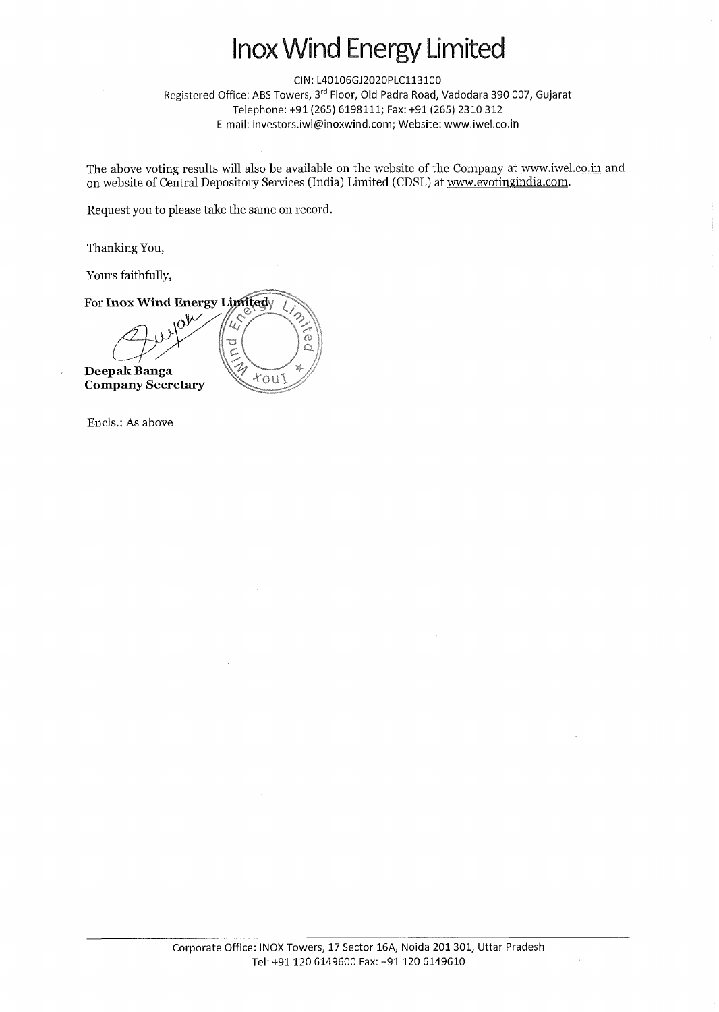### lnox Wind Energy Limited

CIN: L40106GJ2020PLC113100 Registered Office: ABS Towers, 3rd Floor, Old Padra Road, Vadodara 390 007, Gujarat Telephone: +91(265) 6198111; Fax: +91(265) 2310 312 E-mail: investors.iwl@inoxwind.com; Website: www.iwel.co.in

The above voting results will also be available on the website of the Company at www.iwel.co.in and on website of Central Depository Services (India) Limited (CDSL) at www.evotingindia.com.

Request you to please take the same on record.

Thanking You,

Yours faithfully,

For **Inox Wind Energy Limited**  $\mathcal{L}$  $\widetilde{\widehat{\alpha}}$ **POINT Deepak Banga**  $x_0u_1$ **Company Secretary** 

Encls.: As above

 $\bar{\Gamma}$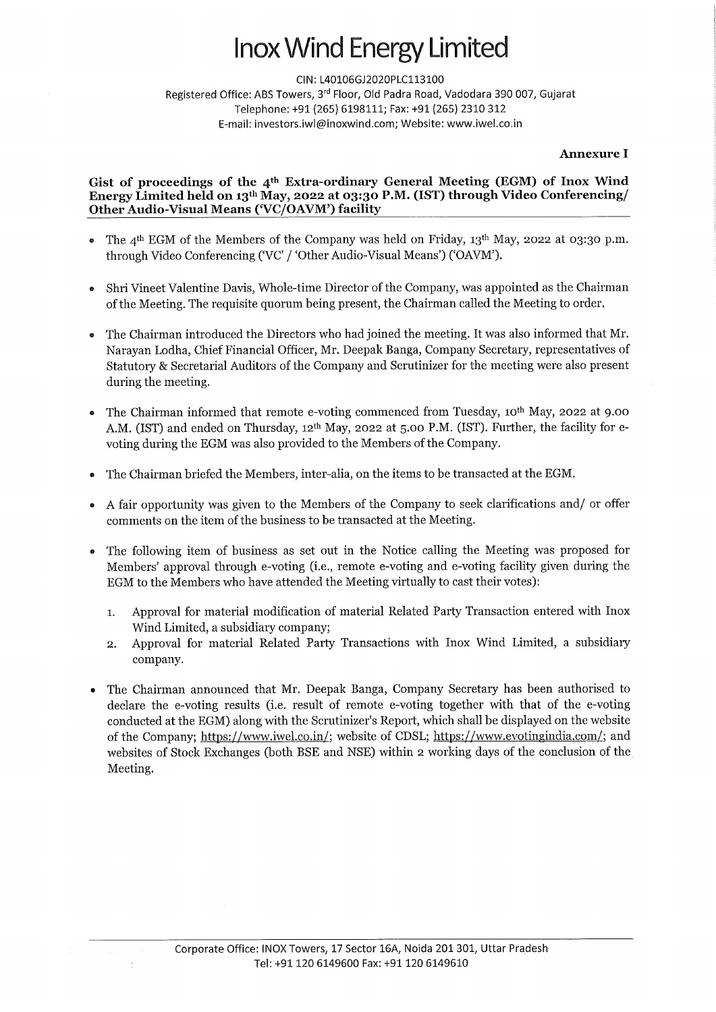# nox Wind Energy Limited

CIN: L40106GJ2020PLC113100 Registered Office: ABS Towers, 3rd Floor, Old Padra Road, Vadodara 390 007, Gujarat Telephone: +91(265) 6198111; Fax: +91(265) 2310 312 E-mail: investors.iwl@inoxwind.com; Website: www.iwel.co.in

### **Annexure I**

### **Gist of proceedings of the 4th Extra-ordinary General Meeting (EGM) of Inox Wind**  Energy Limited held on 13<sup>th</sup> May, 2022 at 03:30 P.M. (IST) through Video Conferencing/ **Other Audio-Visual Means ('VC/OAVM') facility**

- The 4<sup>th</sup> EGM of the Members of the Company was held on Friday, 13<sup>th</sup> May, 2022 at 03:30 p.m. through Video Conferencing ('VC' / 'Other Audio-Visual Means') ('OAVM').
- **<sup>e</sup>**Shri Vineet Valentine Davis, Whole-time Director of the Company, was appointed as the Chairman of the Meeting. The requisite quorum being present, the Chairman called the Meeting to order.
- The Chairman introduced the Directors who had joined the meeting. It was also informed that Mr. Narayan Lodha, Chief Financial Officer, Mr. Deepak Banga, Company Secretary, representatives of Statutory & Secretarial Auditors of the Company and Scrutinizer for the meeting were also present during the meeting.
- The Chairman informed that remote e-voting commenced from Tuesday, 10<sup>th</sup> May, 2022 at 9.00 A.M. (IST) and ended on Thursday, 12<sup>th</sup> May, 2022 at 5.00 P.M. (IST). Further, the facility for evoting during the EGM was also provided to the Members of the Company.
- **<sup>a</sup>**The Chairman briefed the Members, inter-alia, on the items to be transacted at the EGM.
- **<sup>e</sup>**A fair opportunity was given to the Members of the Company to seek clarifications and/ or offer comments on the item of the business to be transacted at the Meeting.
- **<sup>e</sup>**The following item of business as set out in the Notice calling the Meeting was proposed for Members' approval through e-voting (i.e., remote e-voting and e-voting facility given during the EGM to the Members who have attended the Meeting virtually to cast their votes):
	- I. Approval for material modification of material Related Party Transaction entered with Inox Wind Limited, a subsidiary company;
	- **2.** Approval for material Related Party Transactions with Inox Wind Limited, a subsidiary company.
- **<sup>a</sup>**The Chairman announced that Mr. Deepak Banga, Company Secretary has been authorised to declare the e-voting results (i.e. result of remote e-voting together with that of the e-voting conducted at the EGM) along with the Scrutinizer's Report, which shall be displayed on the website of the Company; https://www.iwel.co.in/; website of CDSL; https://www.evotingindia.com/; and websites of Stock Exchanges (both BSE and NSE) within 2 working days of the conclusion of the Meeting.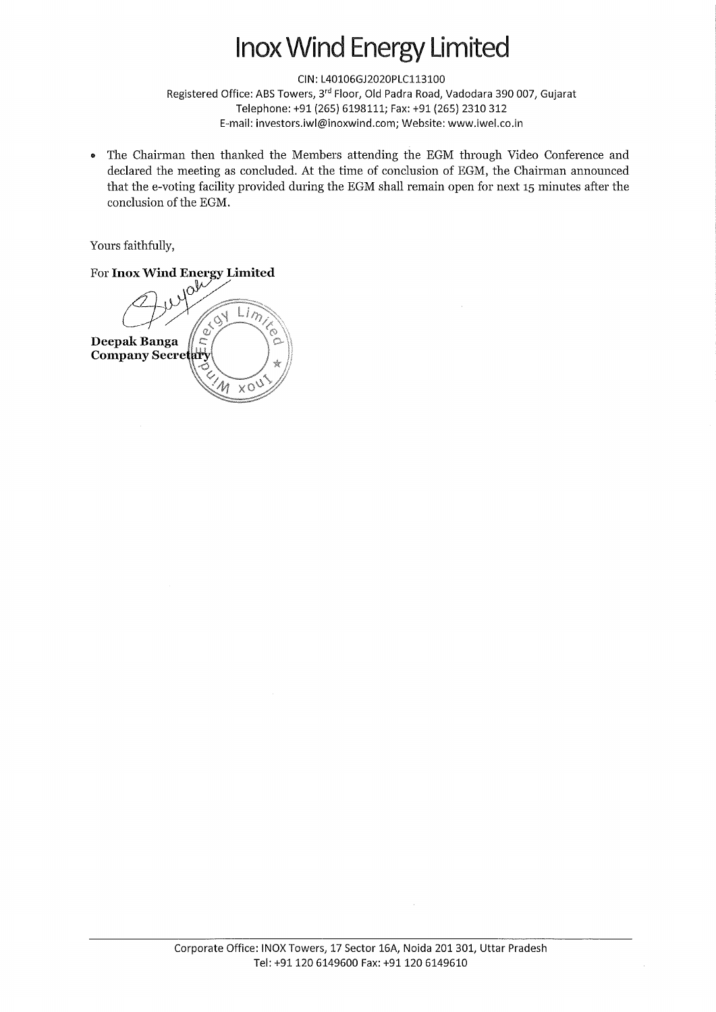## nox Wind Energy Limited

CIN: L40106GJ2020PLC113100

Registered Office: ABS Towers, 3rd Floor, Old Padra Road, Vadodara 390 007, Gujarat Telephone: +91 (265) 6198111; Fax: +91 (265) 2310 312 E-mail: investors.iwl@inoxwind.com; Website: www.iwel.co.in

• The Chairman then thanked the Members attending the EGM through Video Conference and declared the meeting as concluded. At the time of conclusion of EGM, the Chairman announced that the e-voting facility provided during the EGM shall remain open for next 15 minutes after the conclusion of the EGM.

Yours faithfully,

For **Inox Wind Energy Limited**  Limited  $\tilde{a}$ Deepak Banga **Company Secretary**  $\sqrt{2}$  $X^{\circ}$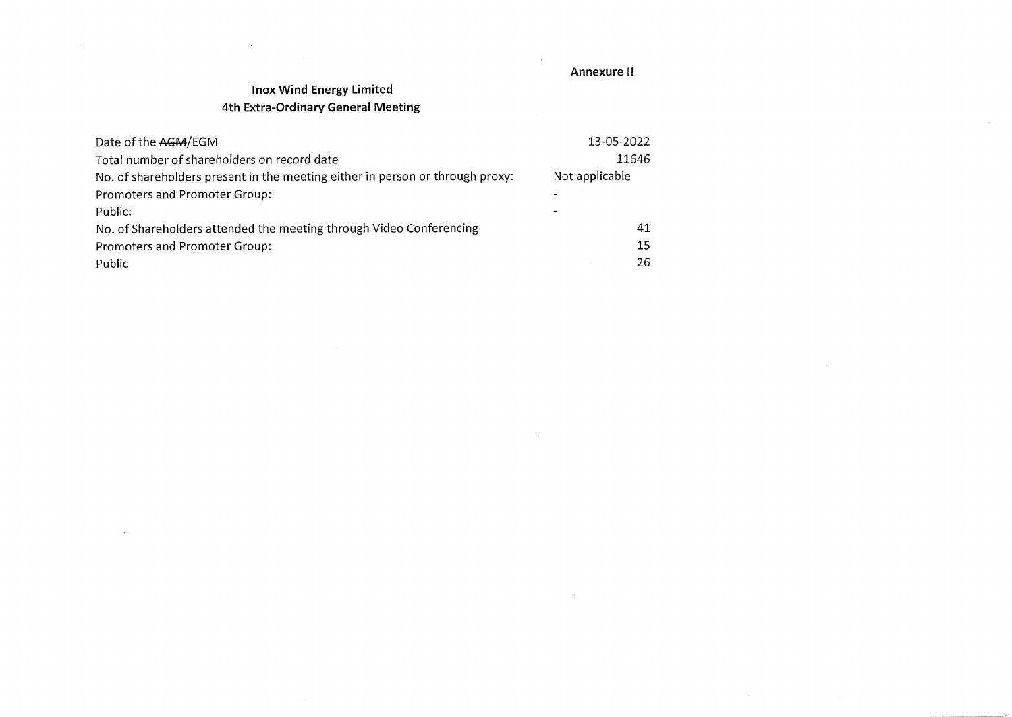#### **Annexure II**

 $\mathcal{A}_{\mathcal{C}}$  .

 $\sim$   $\mu$  .

 $\sim 10^{-1}$ 

 $\sim 10^{-10}$ 

### **lnox Wind Energy Limited 4th Extra-Ordinary General Meeting**

 $\sim$ 

| Date of the AGM/EGM                                                           | 13-05-2022     |
|-------------------------------------------------------------------------------|----------------|
| Total number of shareholders on record date                                   | 11646          |
| No. of shareholders present in the meeting either in person or through proxy: | Not applicable |
| Promoters and Promoter Group:                                                 |                |
| Public:                                                                       |                |
| No. of Shareholders attended the meeting through Video Conferencing           | 41             |
| Promoters and Promoter Group:                                                 | 15             |
| Public                                                                        | 26             |